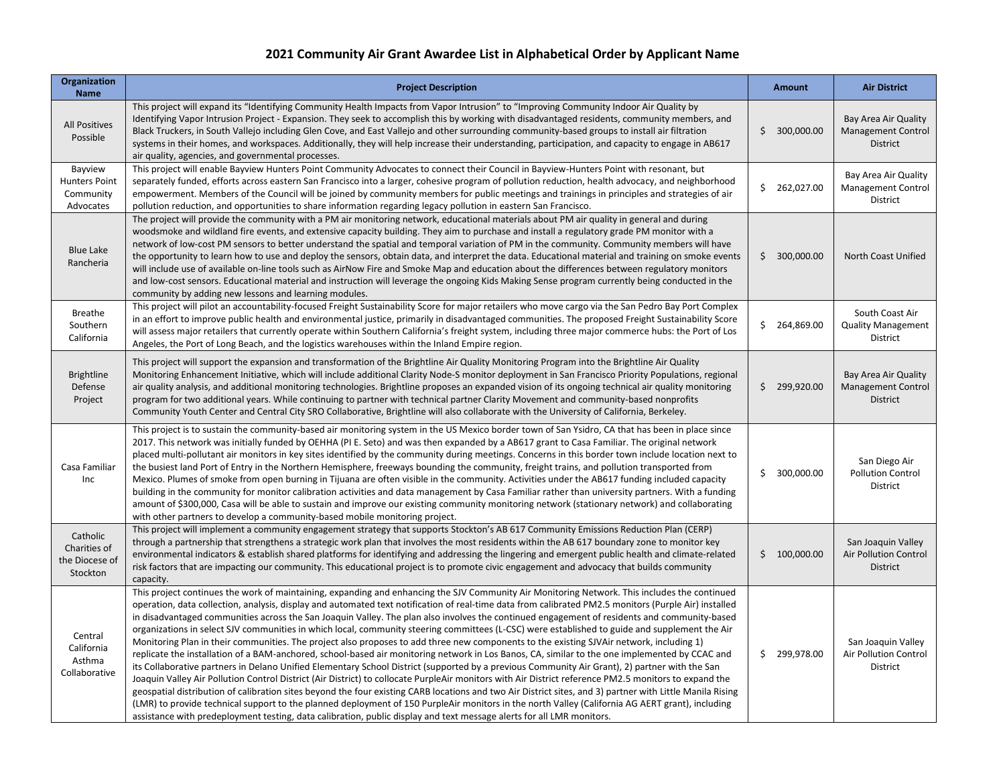## **2021 Community Air Grant Awardee List in Alphabetical Order by Applicant Name**

| <b>Organization</b><br><b>Name</b>                        | <b>Project Description</b>                                                                                                                                                                                                                                                                                                                                                                                                                                                                                                                                                                                                                                                                                                                                                                                                                                                                                                                                                                                                                                                                                                                                                                                                                                                                                                                                                                                                                                                                                                                                                                                                                                  | <b>Amount</b>    | <b>Air District</b>                                            |
|-----------------------------------------------------------|-------------------------------------------------------------------------------------------------------------------------------------------------------------------------------------------------------------------------------------------------------------------------------------------------------------------------------------------------------------------------------------------------------------------------------------------------------------------------------------------------------------------------------------------------------------------------------------------------------------------------------------------------------------------------------------------------------------------------------------------------------------------------------------------------------------------------------------------------------------------------------------------------------------------------------------------------------------------------------------------------------------------------------------------------------------------------------------------------------------------------------------------------------------------------------------------------------------------------------------------------------------------------------------------------------------------------------------------------------------------------------------------------------------------------------------------------------------------------------------------------------------------------------------------------------------------------------------------------------------------------------------------------------------|------------------|----------------------------------------------------------------|
| <b>All Positives</b><br>Possible                          | This project will expand its "Identifying Community Health Impacts from Vapor Intrusion" to "Improving Community Indoor Air Quality by<br>Identifying Vapor Intrusion Project - Expansion. They seek to accomplish this by working with disadvantaged residents, community members, and<br>Black Truckers, in South Vallejo including Glen Cove, and East Vallejo and other surrounding community-based groups to install air filtration<br>systems in their homes, and workspaces. Additionally, they will help increase their understanding, participation, and capacity to engage in AB617<br>air quality, agencies, and governmental processes.                                                                                                                                                                                                                                                                                                                                                                                                                                                                                                                                                                                                                                                                                                                                                                                                                                                                                                                                                                                                         | \$300,000.00     | Bay Area Air Quality<br><b>Management Control</b><br>District  |
| Bayview<br><b>Hunters Point</b><br>Community<br>Advocates | This project will enable Bayview Hunters Point Community Advocates to connect their Council in Bayview-Hunters Point with resonant, but<br>separately funded, efforts across eastern San Francisco into a larger, cohesive program of pollution reduction, health advocacy, and neighborhood<br>empowerment. Members of the Council will be joined by community members for public meetings and trainings in principles and strategies of air<br>pollution reduction, and opportunities to share information regarding legacy pollution in eastern San Francisco.                                                                                                                                                                                                                                                                                                                                                                                                                                                                                                                                                                                                                                                                                                                                                                                                                                                                                                                                                                                                                                                                                           | \$262,027.00     | Bay Area Air Quality<br><b>Management Control</b><br>District  |
| <b>Blue Lake</b><br>Rancheria                             | The project will provide the community with a PM air monitoring network, educational materials about PM air quality in general and during<br>woodsmoke and wildland fire events, and extensive capacity building. They aim to purchase and install a regulatory grade PM monitor with a<br>network of low-cost PM sensors to better understand the spatial and temporal variation of PM in the community. Community members will have<br>the opportunity to learn how to use and deploy the sensors, obtain data, and interpret the data. Educational material and training on smoke events<br>will include use of available on-line tools such as AirNow Fire and Smoke Map and education about the differences between regulatory monitors<br>and low-cost sensors. Educational material and instruction will leverage the ongoing Kids Making Sense program currently being conducted in the<br>community by adding new lessons and learning modules.                                                                                                                                                                                                                                                                                                                                                                                                                                                                                                                                                                                                                                                                                                    | \$300,000.00     | North Coast Unified                                            |
| <b>Breathe</b><br>Southern<br>California                  | This project will pilot an accountability-focused Freight Sustainability Score for major retailers who move cargo via the San Pedro Bay Port Complex<br>in an effort to improve public health and environmental justice, primarily in disadvantaged communities. The proposed Freight Sustainability Score<br>will assess major retailers that currently operate within Southern California's freight system, including three major commerce hubs: the Port of Los<br>Angeles, the Port of Long Beach, and the logistics warehouses within the Inland Empire region.                                                                                                                                                                                                                                                                                                                                                                                                                                                                                                                                                                                                                                                                                                                                                                                                                                                                                                                                                                                                                                                                                        | 264,869.00<br>\$ | South Coast Air<br><b>Quality Management</b><br>District       |
| <b>Brightline</b><br>Defense<br>Project                   | This project will support the expansion and transformation of the Brightline Air Quality Monitoring Program into the Brightline Air Quality<br>Monitoring Enhancement Initiative, which will include additional Clarity Node-S monitor deployment in San Francisco Priority Populations, regional<br>air quality analysis, and additional monitoring technologies. Brightline proposes an expanded vision of its ongoing technical air quality monitoring<br>program for two additional years. While continuing to partner with technical partner Clarity Movement and community-based nonprofits<br>Community Youth Center and Central City SRO Collaborative, Brightline will also collaborate with the University of California, Berkeley.                                                                                                                                                                                                                                                                                                                                                                                                                                                                                                                                                                                                                                                                                                                                                                                                                                                                                                               | \$299,920.00     | Bay Area Air Quality<br><b>Management Control</b><br>District  |
| Casa Familiar<br>Inc                                      | This project is to sustain the community-based air monitoring system in the US Mexico border town of San Ysidro, CA that has been in place since<br>2017. This network was initially funded by OEHHA (PI E. Seto) and was then expanded by a AB617 grant to Casa Familiar. The original network<br>placed multi-pollutant air monitors in key sites identified by the community during meetings. Concerns in this border town include location next to<br>the busiest land Port of Entry in the Northern Hemisphere, freeways bounding the community, freight trains, and pollution transported from<br>Mexico. Plumes of smoke from open burning in Tijuana are often visible in the community. Activities under the AB617 funding included capacity<br>building in the community for monitor calibration activities and data management by Casa Familiar rather than university partners. With a funding<br>amount of \$300,000, Casa will be able to sustain and improve our existing community monitoring network (stationary network) and collaborating<br>with other partners to develop a community-based mobile monitoring project.                                                                                                                                                                                                                                                                                                                                                                                                                                                                                                                 | \$300,000.00     | San Diego Air<br><b>Pollution Control</b><br>District          |
| Catholic<br>Charities of<br>the Diocese of<br>Stockton    | This project will implement a community engagement strategy that supports Stockton's AB 617 Community Emissions Reduction Plan (CERP)<br>through a partnership that strengthens a strategic work plan that involves the most residents within the AB 617 boundary zone to monitor key<br>environmental indicators & establish shared platforms for identifying and addressing the lingering and emergent public health and climate-related<br>risk factors that are impacting our community. This educational project is to promote civic engagement and advocacy that builds community<br>capacity.                                                                                                                                                                                                                                                                                                                                                                                                                                                                                                                                                                                                                                                                                                                                                                                                                                                                                                                                                                                                                                                        | \$100,000.00     | San Joaquin Valley<br><b>Air Pollution Control</b><br>District |
| Central<br>California<br>Asthma<br>Collaborative          | This project continues the work of maintaining, expanding and enhancing the SJV Community Air Monitoring Network. This includes the continued<br>operation, data collection, analysis, display and automated text notification of real-time data from calibrated PM2.5 monitors (Purple Air) installed<br>in disadvantaged communities across the San Joaquin Valley. The plan also involves the continued engagement of residents and community-based<br>organizations in select SJV communities in which local, community steering committees (L-CSC) were established to guide and supplement the Air<br>Monitoring Plan in their communities. The project also proposes to add three new components to the existing SJVAir network, including 1)<br>replicate the installation of a BAM-anchored, school-based air monitoring network in Los Banos, CA, similar to the one implemented by CCAC and<br>its Collaborative partners in Delano Unified Elementary School District (supported by a previous Community Air Grant), 2) partner with the San<br>Joaquin Valley Air Pollution Control District (Air District) to collocate PurpleAir monitors with Air District reference PM2.5 monitors to expand the<br>geospatial distribution of calibration sites beyond the four existing CARB locations and two Air District sites, and 3) partner with Little Manila Rising<br>(LMR) to provide technical support to the planned deployment of 150 PurpleAir monitors in the north Valley (California AG AERT grant), including<br>assistance with predeployment testing, data calibration, public display and text message alerts for all LMR monitors. | \$299,978.00     | San Joaquin Valley<br>Air Pollution Control<br><b>District</b> |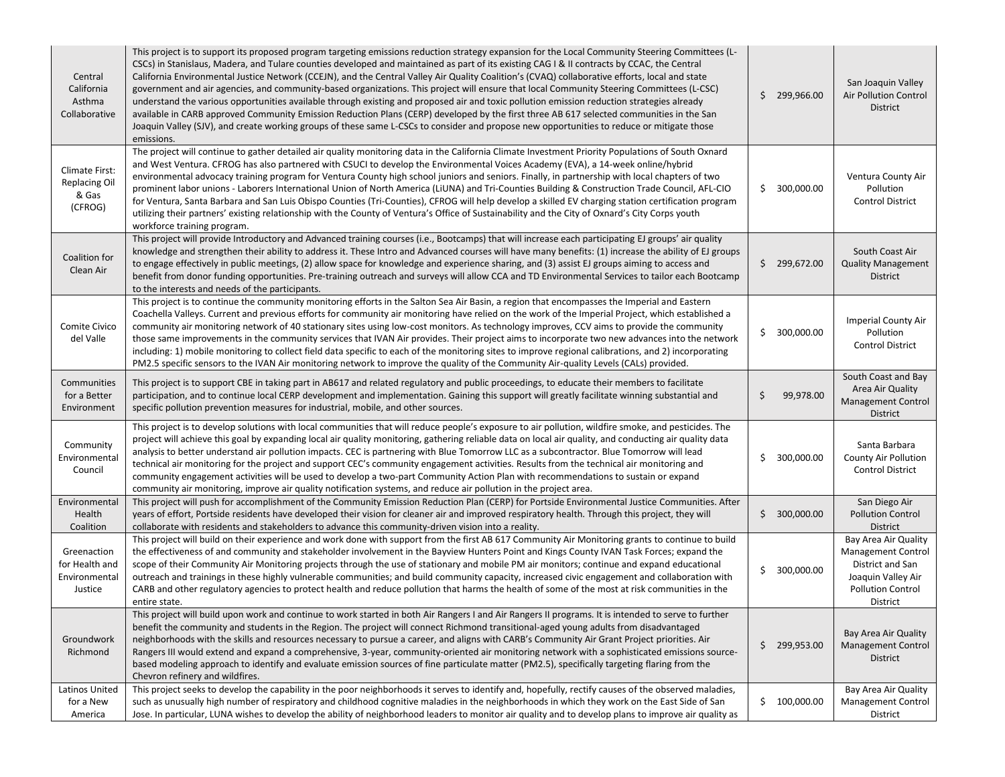| Central<br>California<br>Asthma<br>Collaborative           | This project is to support its proposed program targeting emissions reduction strategy expansion for the Local Community Steering Committees (L-<br>CSCs) in Stanislaus, Madera, and Tulare counties developed and maintained as part of its existing CAG I & II contracts by CCAC, the Central<br>California Environmental Justice Network (CCEJN), and the Central Valley Air Quality Coalition's (CVAQ) collaborative efforts, local and state<br>government and air agencies, and community-based organizations. This project will ensure that local Community Steering Committees (L-CSC)<br>understand the various opportunities available through existing and proposed air and toxic pollution emission reduction strategies already<br>available in CARB approved Community Emission Reduction Plans (CERP) developed by the first three AB 617 selected communities in the San<br>Joaquin Valley (SJV), and create working groups of these same L-CSCs to consider and propose new opportunities to reduce or mitigate those<br>emissions. |     | \$299,966.00 | San Joaquin Valley<br><b>Air Pollution Control</b><br>District                                                                      |
|------------------------------------------------------------|------------------------------------------------------------------------------------------------------------------------------------------------------------------------------------------------------------------------------------------------------------------------------------------------------------------------------------------------------------------------------------------------------------------------------------------------------------------------------------------------------------------------------------------------------------------------------------------------------------------------------------------------------------------------------------------------------------------------------------------------------------------------------------------------------------------------------------------------------------------------------------------------------------------------------------------------------------------------------------------------------------------------------------------------------|-----|--------------|-------------------------------------------------------------------------------------------------------------------------------------|
| Climate First:<br><b>Replacing Oil</b><br>& Gas<br>(CFROG) | The project will continue to gather detailed air quality monitoring data in the California Climate Investment Priority Populations of South Oxnard<br>and West Ventura. CFROG has also partnered with CSUCI to develop the Environmental Voices Academy (EVA), a 14-week online/hybrid<br>environmental advocacy training program for Ventura County high school juniors and seniors. Finally, in partnership with local chapters of two<br>prominent labor unions - Laborers International Union of North America (LiUNA) and Tri-Counties Building & Construction Trade Council, AFL-CIO<br>for Ventura, Santa Barbara and San Luis Obispo Counties (Tri-Counties), CFROG will help develop a skilled EV charging station certification program<br>utilizing their partners' existing relationship with the County of Ventura's Office of Sustainability and the City of Oxnard's City Corps youth<br>workforce training program.                                                                                                                  |     | \$300,000.00 | Ventura County Air<br>Pollution<br><b>Control District</b>                                                                          |
| Coalition for<br>Clean Air                                 | This project will provide Introductory and Advanced training courses (i.e., Bootcamps) that will increase each participating EJ groups' air quality<br>knowledge and strengthen their ability to address it. These Intro and Advanced courses will have many benefits: (1) increase the ability of EJ groups<br>to engage effectively in public meetings, (2) allow space for knowledge and experience sharing, and (3) assist EJ groups aiming to access and<br>benefit from donor funding opportunities. Pre-training outreach and surveys will allow CCA and TD Environmental Services to tailor each Bootcamp<br>to the interests and needs of the participants.                                                                                                                                                                                                                                                                                                                                                                                 |     | \$299,672.00 | South Coast Air<br><b>Quality Management</b><br>District                                                                            |
| Comite Civico<br>del Valle                                 | This project is to continue the community monitoring efforts in the Salton Sea Air Basin, a region that encompasses the Imperial and Eastern<br>Coachella Valleys. Current and previous efforts for community air monitoring have relied on the work of the Imperial Project, which established a<br>community air monitoring network of 40 stationary sites using low-cost monitors. As technology improves, CCV aims to provide the community<br>those same improvements in the community services that IVAN Air provides. Their project aims to incorporate two new advances into the network<br>including: 1) mobile monitoring to collect field data specific to each of the monitoring sites to improve regional calibrations, and 2) incorporating<br>PM2.5 specific sensors to the IVAN Air monitoring network to improve the quality of the Community Air-quality Levels (CALs) provided.                                                                                                                                                   |     | \$300,000.00 | <b>Imperial County Air</b><br>Pollution<br><b>Control District</b>                                                                  |
| Communities<br>for a Better<br>Environment                 | This project is to support CBE in taking part in AB617 and related regulatory and public proceedings, to educate their members to facilitate<br>participation, and to continue local CERP development and implementation. Gaining this support will greatly facilitate winning substantial and<br>specific pollution prevention measures for industrial, mobile, and other sources.                                                                                                                                                                                                                                                                                                                                                                                                                                                                                                                                                                                                                                                                  | S   | 99,978.00    | South Coast and Bay<br>Area Air Quality<br><b>Management Control</b><br>District                                                    |
| Community<br>Environmental<br>Council                      | This project is to develop solutions with local communities that will reduce people's exposure to air pollution, wildfire smoke, and pesticides. The<br>project will achieve this goal by expanding local air quality monitoring, gathering reliable data on local air quality, and conducting air quality data<br>analysis to better understand air pollution impacts. CEC is partnering with Blue Tomorrow LLC as a subcontractor. Blue Tomorrow will lead<br>technical air monitoring for the project and support CEC's community engagement activities. Results from the technical air monitoring and<br>community engagement activities will be used to develop a two-part Community Action Plan with recommendations to sustain or expand<br>community air monitoring, improve air quality notification systems, and reduce air pollution in the project area.                                                                                                                                                                                 | \$. | 300,000.00   | Santa Barbara<br><b>County Air Pollution</b><br><b>Control District</b>                                                             |
| Environmental<br>Health<br>Coalition                       | This project will push for accomplishment of the Community Emission Reduction Plan (CERP) for Portside Environmental Justice Communities. After<br>years of effort, Portside residents have developed their vision for cleaner air and improved respiratory health. Through this project, they will<br>collaborate with residents and stakeholders to advance this community-driven vision into a reality.                                                                                                                                                                                                                                                                                                                                                                                                                                                                                                                                                                                                                                           |     | \$300,000.00 | San Diego Air<br><b>Pollution Control</b><br><b>District</b>                                                                        |
| Greenaction<br>for Health and<br>Environmental<br>Justice  | This project will build on their experience and work done with support from the first AB 617 Community Air Monitoring grants to continue to build<br>the effectiveness of and community and stakeholder involvement in the Bayview Hunters Point and Kings County IVAN Task Forces; expand the<br>scope of their Community Air Monitoring projects through the use of stationary and mobile PM air monitors; continue and expand educational<br>outreach and trainings in these highly vulnerable communities; and build community capacity, increased civic engagement and collaboration with<br>CARB and other regulatory agencies to protect health and reduce pollution that harms the health of some of the most at risk communities in the<br>entire state.                                                                                                                                                                                                                                                                                    |     | \$300,000.00 | Bay Area Air Quality<br><b>Management Control</b><br>District and San<br>Joaquin Valley Air<br><b>Pollution Control</b><br>District |
| Groundwork<br>Richmond                                     | This project will build upon work and continue to work started in both Air Rangers I and Air Rangers II programs. It is intended to serve to further<br>benefit the community and students in the Region. The project will connect Richmond transitional-aged young adults from disadvantaged<br>neighborhoods with the skills and resources necessary to pursue a career, and aligns with CARB's Community Air Grant Project priorities. Air<br>Rangers III would extend and expand a comprehensive, 3-year, community-oriented air monitoring network with a sophisticated emissions source-<br>based modeling approach to identify and evaluate emission sources of fine particulate matter (PM2.5), specifically targeting flaring from the<br>Chevron refinery and wildfires.                                                                                                                                                                                                                                                                   |     | \$299,953.00 | Bay Area Air Quality<br>Management Control<br>District                                                                              |
| Latinos United<br>for a New<br>America                     | This project seeks to develop the capability in the poor neighborhoods it serves to identify and, hopefully, rectify causes of the observed maladies,<br>such as unusually high number of respiratory and childhood cognitive maladies in the neighborhoods in which they work on the East Side of San<br>Jose. In particular, LUNA wishes to develop the ability of neighborhood leaders to monitor air quality and to develop plans to improve air quality as                                                                                                                                                                                                                                                                                                                                                                                                                                                                                                                                                                                      |     | \$100,000.00 | Bay Area Air Quality<br><b>Management Control</b><br>District                                                                       |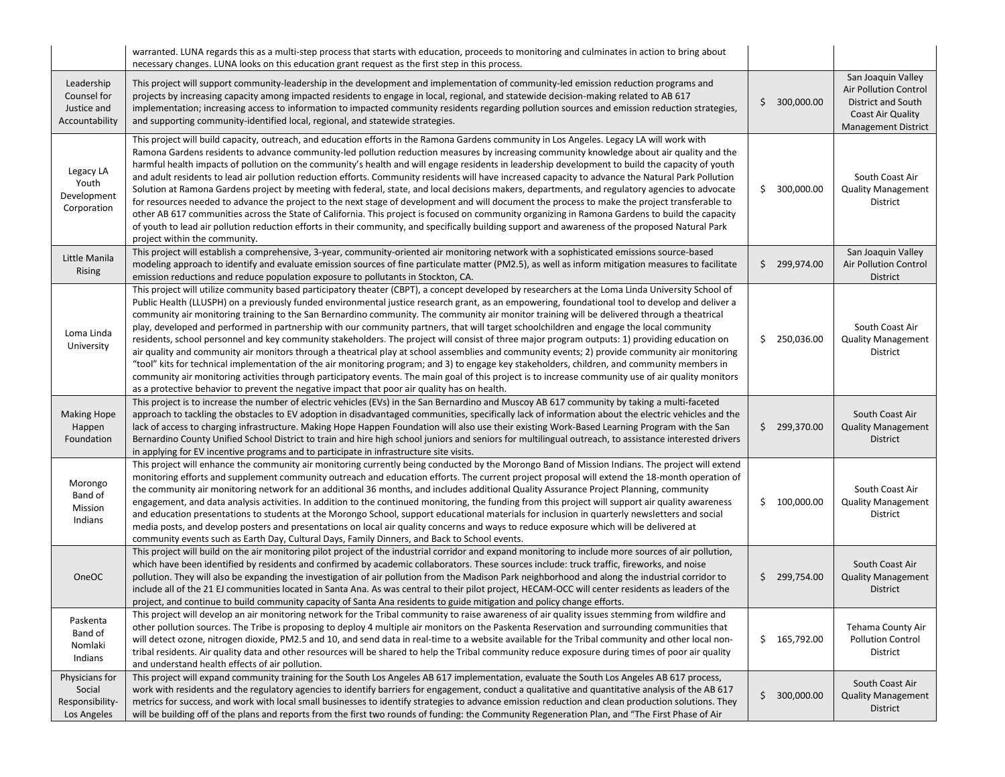|                                                            | warranted. LUNA regards this as a multi-step process that starts with education, proceeds to monitoring and culminates in action to bring about<br>necessary changes. LUNA looks on this education grant request as the first step in this process.                                                                                                                                                                                                                                                                                                                                                                                                                                                                                                                                                                                                                                                                                                                                                                                                                                                                                                                                                                                                                                                             |     |              |                                                                                                                             |
|------------------------------------------------------------|-----------------------------------------------------------------------------------------------------------------------------------------------------------------------------------------------------------------------------------------------------------------------------------------------------------------------------------------------------------------------------------------------------------------------------------------------------------------------------------------------------------------------------------------------------------------------------------------------------------------------------------------------------------------------------------------------------------------------------------------------------------------------------------------------------------------------------------------------------------------------------------------------------------------------------------------------------------------------------------------------------------------------------------------------------------------------------------------------------------------------------------------------------------------------------------------------------------------------------------------------------------------------------------------------------------------|-----|--------------|-----------------------------------------------------------------------------------------------------------------------------|
| Leadership<br>Counsel for<br>Justice and<br>Accountability | This project will support community-leadership in the development and implementation of community-led emission reduction programs and<br>projects by increasing capacity among impacted residents to engage in local, regional, and statewide decision-making related to AB 617<br>implementation; increasing access to information to impacted community residents regarding pollution sources and emission reduction strategies,<br>and supporting community-identified local, regional, and statewide strategies.                                                                                                                                                                                                                                                                                                                                                                                                                                                                                                                                                                                                                                                                                                                                                                                            |     | \$300,000.00 | San Joaquin Valley<br><b>Air Pollution Control</b><br>District and South<br>Coast Air Quality<br><b>Management District</b> |
| Legacy LA<br>Youth<br>Development<br>Corporation           | This project will build capacity, outreach, and education efforts in the Ramona Gardens community in Los Angeles. Legacy LA will work with<br>Ramona Gardens residents to advance community-led pollution reduction measures by increasing community knowledge about air quality and the<br>harmful health impacts of pollution on the community's health and will engage residents in leadership development to build the capacity of youth<br>and adult residents to lead air pollution reduction efforts. Community residents will have increased capacity to advance the Natural Park Pollution<br>Solution at Ramona Gardens project by meeting with federal, state, and local decisions makers, departments, and regulatory agencies to advocate<br>for resources needed to advance the project to the next stage of development and will document the process to make the project transferable to<br>other AB 617 communities across the State of California. This project is focused on community organizing in Ramona Gardens to build the capacity<br>of youth to lead air pollution reduction efforts in their community, and specifically building support and awareness of the proposed Natural Park<br>project within the community.                                                              |     | \$300,000.00 | South Coast Air<br><b>Quality Management</b><br>District                                                                    |
| Little Manila<br>Rising                                    | This project will establish a comprehensive, 3-year, community-oriented air monitoring network with a sophisticated emissions source-based<br>modeling approach to identify and evaluate emission sources of fine particulate matter (PM2.5), as well as inform mitigation measures to facilitate<br>emission reductions and reduce population exposure to pollutants in Stockton, CA.                                                                                                                                                                                                                                                                                                                                                                                                                                                                                                                                                                                                                                                                                                                                                                                                                                                                                                                          |     | \$299,974.00 | San Joaquin Valley<br>Air Pollution Control<br><b>District</b>                                                              |
| Loma Linda<br>University                                   | This project will utilize community based participatory theater (CBPT), a concept developed by researchers at the Loma Linda University School of<br>Public Health (LLUSPH) on a previously funded environmental justice research grant, as an empowering, foundational tool to develop and deliver a<br>community air monitoring training to the San Bernardino community. The community air monitor training will be delivered through a theatrical<br>play, developed and performed in partnership with our community partners, that will target schoolchildren and engage the local community<br>residents, school personnel and key community stakeholders. The project will consist of three major program outputs: 1) providing education on<br>air quality and community air monitors through a theatrical play at school assemblies and community events; 2) provide community air monitoring<br>"tool" kits for technical implementation of the air monitoring program; and 3) to engage key stakeholders, children, and community members in<br>community air monitoring activities through participatory events. The main goal of this project is to increase community use of air quality monitors<br>as a protective behavior to prevent the negative impact that poor air quality has on health. |     | \$250,036.00 | South Coast Air<br><b>Quality Management</b><br>District                                                                    |
| <b>Making Hope</b><br>Happen<br>Foundation                 | This project is to increase the number of electric vehicles (EVs) in the San Bernardino and Muscoy AB 617 community by taking a multi-faceted<br>approach to tackling the obstacles to EV adoption in disadvantaged communities, specifically lack of information about the electric vehicles and the<br>lack of access to charging infrastructure. Making Hope Happen Foundation will also use their existing Work-Based Learning Program with the San<br>Bernardino County Unified School District to train and hire high school juniors and seniors for multilingual outreach, to assistance interested drivers<br>in applying for EV incentive programs and to participate in infrastructure site visits.                                                                                                                                                                                                                                                                                                                                                                                                                                                                                                                                                                                                   |     | \$299,370.00 | South Coast Air<br><b>Quality Management</b><br>District                                                                    |
| Morongo<br>Band of<br>Mission<br>Indians                   | This project will enhance the community air monitoring currently being conducted by the Morongo Band of Mission Indians. The project will extend<br>monitoring efforts and supplement community outreach and education efforts. The current project proposal will extend the 18-month operation of<br>the community air monitoring network for an additional 36 months, and includes additional Quality Assurance Project Planning, community<br>engagement, and data analysis activities. In addition to the continued monitoring, the funding from this project will support air quality awareness<br>and education presentations to students at the Morongo School, support educational materials for inclusion in quarterly newsletters and social<br>media posts, and develop posters and presentations on local air quality concerns and ways to reduce exposure which will be delivered at<br>community events such as Earth Day, Cultural Days, Family Dinners, and Back to School events.                                                                                                                                                                                                                                                                                                              |     | \$100,000.00 | South Coast Air<br><b>Quality Management</b><br>District                                                                    |
| OneOC                                                      | This project will build on the air monitoring pilot project of the industrial corridor and expand monitoring to include more sources of air pollution,<br>which have been identified by residents and confirmed by academic collaborators. These sources include: truck traffic, fireworks, and noise<br>pollution. They will also be expanding the investigation of air pollution from the Madison Park neighborhood and along the industrial corridor to<br>include all of the 21 EJ communities located in Santa Ana. As was central to their pilot project, HECAM-OCC will center residents as leaders of the<br>project, and continue to build community capacity of Santa Ana residents to guide mitigation and policy change efforts.                                                                                                                                                                                                                                                                                                                                                                                                                                                                                                                                                                    |     | \$299,754.00 | South Coast Air<br><b>Quality Management</b><br>District                                                                    |
| Paskenta<br>Band of<br>Nomlaki<br>Indians                  | This project will develop an air monitoring network for the Tribal community to raise awareness of air quality issues stemming from wildfire and<br>other pollution sources. The Tribe is proposing to deploy 4 multiple air monitors on the Paskenta Reservation and surrounding communities that<br>will detect ozone, nitrogen dioxide, PM2.5 and 10, and send data in real-time to a website available for the Tribal community and other local non-<br>tribal residents. Air quality data and other resources will be shared to help the Tribal community reduce exposure during times of poor air quality<br>and understand health effects of air pollution.                                                                                                                                                                                                                                                                                                                                                                                                                                                                                                                                                                                                                                              |     | \$165,792.00 | Tehama County Air<br><b>Pollution Control</b><br>District                                                                   |
| Physicians for<br>Social<br>Responsibility-<br>Los Angeles | This project will expand community training for the South Los Angeles AB 617 implementation, evaluate the South Los Angeles AB 617 process,<br>work with residents and the regulatory agencies to identify barriers for engagement, conduct a qualitative and quantitative analysis of the AB 617<br>metrics for success, and work with local small businesses to identify strategies to advance emission reduction and clean production solutions. They<br>will be building off of the plans and reports from the first two rounds of funding: the Community Regeneration Plan, and "The First Phase of Air                                                                                                                                                                                                                                                                                                                                                                                                                                                                                                                                                                                                                                                                                                    | \$. | 300,000.00   | South Coast Air<br><b>Quality Management</b><br>District                                                                    |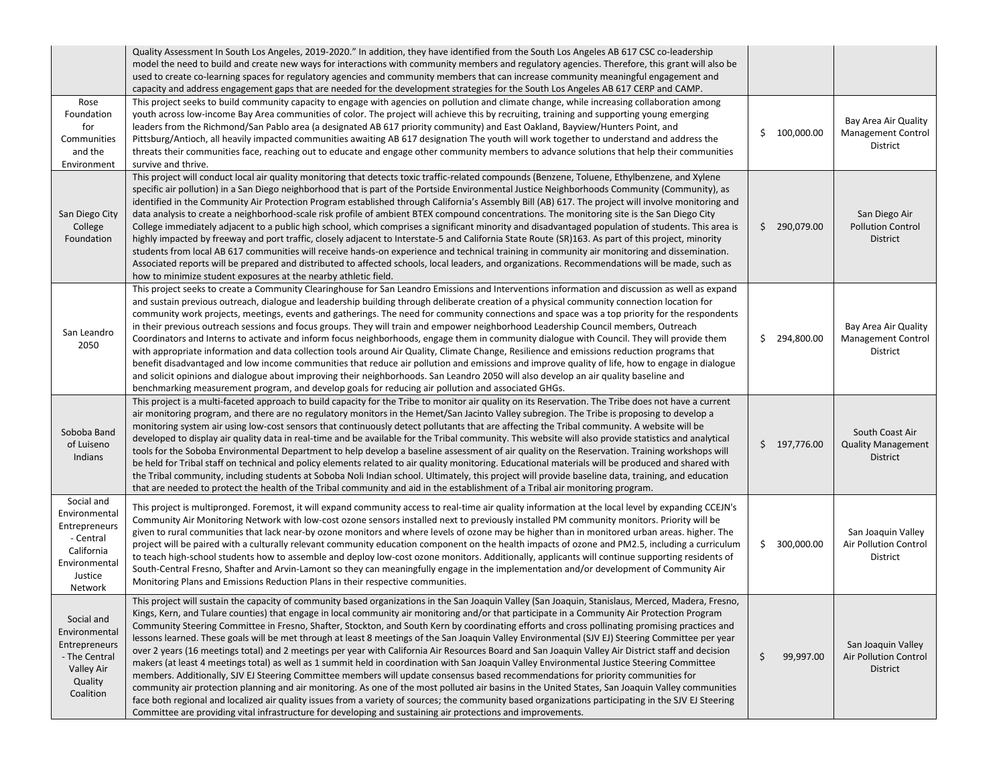|                                                                                                                | Quality Assessment In South Los Angeles, 2019-2020." In addition, they have identified from the South Los Angeles AB 617 CSC co-leadership<br>model the need to build and create new ways for interactions with community members and regulatory agencies. Therefore, this grant will also be<br>used to create co-learning spaces for regulatory agencies and community members that can increase community meaningful engagement and<br>capacity and address engagement gaps that are needed for the development strategies for the South Los Angeles AB 617 CERP and CAMP.                                                                                                                                                                                                                                                                                                                                                                                                                                                                                                                                                                                                                                                                                                                                                                                                                                                                                                          |                 |                                                               |
|----------------------------------------------------------------------------------------------------------------|----------------------------------------------------------------------------------------------------------------------------------------------------------------------------------------------------------------------------------------------------------------------------------------------------------------------------------------------------------------------------------------------------------------------------------------------------------------------------------------------------------------------------------------------------------------------------------------------------------------------------------------------------------------------------------------------------------------------------------------------------------------------------------------------------------------------------------------------------------------------------------------------------------------------------------------------------------------------------------------------------------------------------------------------------------------------------------------------------------------------------------------------------------------------------------------------------------------------------------------------------------------------------------------------------------------------------------------------------------------------------------------------------------------------------------------------------------------------------------------|-----------------|---------------------------------------------------------------|
| Rose<br>Foundation<br>for<br>Communities<br>and the<br>Environment                                             | This project seeks to build community capacity to engage with agencies on pollution and climate change, while increasing collaboration among<br>youth across low-income Bay Area communities of color. The project will achieve this by recruiting, training and supporting young emerging<br>leaders from the Richmond/San Pablo area (a designated AB 617 priority community) and East Oakland, Bayview/Hunters Point, and<br>Pittsburg/Antioch, all heavily impacted communities awaiting AB 617 designation The youth will work together to understand and address the<br>threats their communities face, reaching out to educate and engage other community members to advance solutions that help their communities<br>survive and thrive.                                                                                                                                                                                                                                                                                                                                                                                                                                                                                                                                                                                                                                                                                                                                       | \$100,000.00    | Bay Area Air Quality<br><b>Management Control</b><br>District |
| San Diego City<br>College<br>Foundation                                                                        | This project will conduct local air quality monitoring that detects toxic traffic-related compounds (Benzene, Toluene, Ethylbenzene, and Xylene<br>specific air pollution) in a San Diego neighborhood that is part of the Portside Environmental Justice Neighborhoods Community (Community), as<br>identified in the Community Air Protection Program established through California's Assembly Bill (AB) 617. The project will involve monitoring and<br>data analysis to create a neighborhood-scale risk profile of ambient BTEX compound concentrations. The monitoring site is the San Diego City<br>College immediately adjacent to a public high school, which comprises a significant minority and disadvantaged population of students. This area is<br>highly impacted by freeway and port traffic, closely adjacent to Interstate-5 and California State Route (SR)163. As part of this project, minority<br>students from local AB 617 communities will receive hands-on experience and technical training in community air monitoring and dissemination.<br>Associated reports will be prepared and distributed to affected schools, local leaders, and organizations. Recommendations will be made, such as<br>how to minimize student exposures at the nearby athletic field.                                                                                                                                                                                         | \$290,079.00    | San Diego Air<br><b>Pollution Control</b><br>District         |
| San Leandro<br>2050                                                                                            | This project seeks to create a Community Clearinghouse for San Leandro Emissions and Interventions information and discussion as well as expand<br>and sustain previous outreach, dialogue and leadership building through deliberate creation of a physical community connection location for<br>community work projects, meetings, events and gatherings. The need for community connections and space was a top priority for the respondents<br>in their previous outreach sessions and focus groups. They will train and empower neighborhood Leadership Council members, Outreach<br>Coordinators and Interns to activate and inform focus neighborhoods, engage them in community dialogue with Council. They will provide them<br>with appropriate information and data collection tools around Air Quality, Climate Change, Resilience and emissions reduction programs that<br>benefit disadvantaged and low income communities that reduce air pollution and emissions and improve quality of life, how to engage in dialogue<br>and solicit opinions and dialogue about improving their neighborhoods. San Leandro 2050 will also develop an air quality baseline and<br>benchmarking measurement program, and develop goals for reducing air pollution and associated GHGs.                                                                                                                                                                                                | \$294,800.00    | Bay Area Air Quality<br><b>Management Control</b><br>District |
| Soboba Band<br>of Luiseno<br>Indians                                                                           | This project is a multi-faceted approach to build capacity for the Tribe to monitor air quality on its Reservation. The Tribe does not have a current<br>air monitoring program, and there are no regulatory monitors in the Hemet/San Jacinto Valley subregion. The Tribe is proposing to develop a<br>monitoring system air using low-cost sensors that continuously detect pollutants that are affecting the Tribal community. A website will be<br>developed to display air quality data in real-time and be available for the Tribal community. This website will also provide statistics and analytical<br>tools for the Soboba Environmental Department to help develop a baseline assessment of air quality on the Reservation. Training workshops will<br>be held for Tribal staff on technical and policy elements related to air quality monitoring. Educational materials will be produced and shared with<br>the Tribal community, including students at Soboba Noli Indian school. Ultimately, this project will provide baseline data, training, and education<br>that are needed to protect the health of the Tribal community and aid in the establishment of a Tribal air monitoring program.                                                                                                                                                                                                                                                                        | \$197,776.00    | South Coast Air<br><b>Quality Management</b><br>District      |
| Social and<br>Environmental<br>Entrepreneurs<br>- Central<br>California<br>Environmental<br>Justice<br>Network | This project is multipronged. Foremost, it will expand community access to real-time air quality information at the local level by expanding CCEJN's<br>Community Air Monitoring Network with low-cost ozone sensors installed next to previously installed PM community monitors. Priority will be<br>given to rural communities that lack near-by ozone monitors and where levels of ozone may be higher than in monitored urban areas. higher. The<br>project will be paired with a culturally relevant community education component on the health impacts of ozone and PM2.5, including a curriculum<br>to teach high-school students how to assemble and deploy low-cost ozone monitors. Additionally, applicants will continue supporting residents of<br>South-Central Fresno, Shafter and Arvin-Lamont so they can meaningfully engage in the implementation and/or development of Community Air<br>Monitoring Plans and Emissions Reduction Plans in their respective communities.                                                                                                                                                                                                                                                                                                                                                                                                                                                                                           | \$300,000.00    | San Joaquin Valley<br>Air Pollution Control<br>District       |
| Social and<br>Environmental<br>Entrepreneurs<br>- The Central<br>Valley Air<br>Quality<br>Coalition            | This project will sustain the capacity of community based organizations in the San Joaquin Valley (San Joaquin, Stanislaus, Merced, Madera, Fresno,<br>Kings, Kern, and Tulare counties) that engage in local community air monitoring and/or that participate in a Community Air Protection Program<br>Community Steering Committee in Fresno, Shafter, Stockton, and South Kern by coordinating efforts and cross pollinating promising practices and<br>lessons learned. These goals will be met through at least 8 meetings of the San Joaquin Valley Environmental (SJV EJ) Steering Committee per year<br>over 2 years (16 meetings total) and 2 meetings per year with California Air Resources Board and San Joaquin Valley Air District staff and decision<br>makers (at least 4 meetings total) as well as 1 summit held in coordination with San Joaquin Valley Environmental Justice Steering Committee<br>members. Additionally, SJV EJ Steering Committee members will update consensus based recommendations for priority communities for<br>community air protection planning and air monitoring. As one of the most polluted air basins in the United States, San Joaquin Valley communities<br>face both regional and localized air quality issues from a variety of sources; the community based organizations participating in the SJV EJ Steering<br>Committee are providing vital infrastructure for developing and sustaining air protections and improvements. | \$<br>99,997.00 | San Joaquin Valley<br>Air Pollution Control<br>District       |